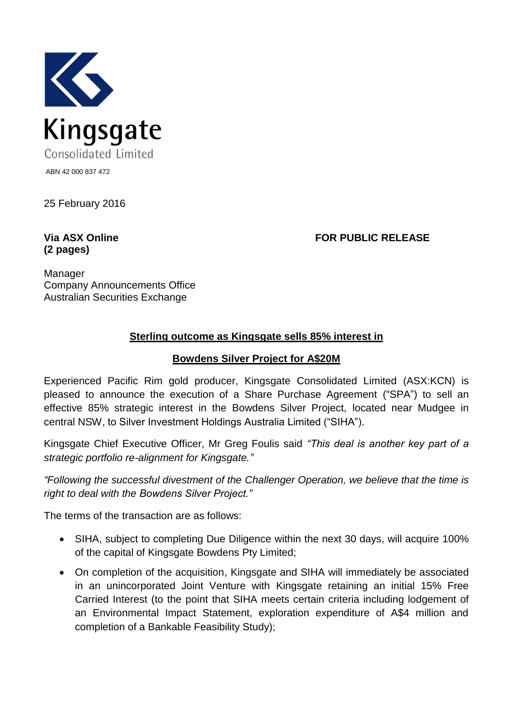

25 February 2016

## **(2 pages)**

**Via ASX Online FOR PUBLIC RELEASE**

Manager Company Announcements Office Australian Securities Exchange

## **Sterling outcome as Kingsgate sells 85% interest in**

## **Bowdens Silver Project for A\$20M**

Experienced Pacific Rim gold producer, Kingsgate Consolidated Limited (ASX:KCN) is pleased to announce the execution of a Share Purchase Agreement ("SPA") to sell an effective 85% strategic interest in the Bowdens Silver Project, located near Mudgee in central NSW, to Silver Investment Holdings Australia Limited ("SIHA").

Kingsgate Chief Executive Officer, Mr Greg Foulis said *"This deal is another key part of a strategic portfolio re-alignment for Kingsgate."* 

*"Following the successful divestment of the Challenger Operation, we believe that the time is right to deal with the Bowdens Silver Project."* 

The terms of the transaction are as follows:

- SIHA, subject to completing Due Diligence within the next 30 days, will acquire 100% of the capital of Kingsgate Bowdens Pty Limited;
- On completion of the acquisition, Kingsgate and SIHA will immediately be associated in an unincorporated Joint Venture with Kingsgate retaining an initial 15% Free Carried Interest (to the point that SIHA meets certain criteria including lodgement of an Environmental Impact Statement, exploration expenditure of A\$4 million and completion of a Bankable Feasibility Study);